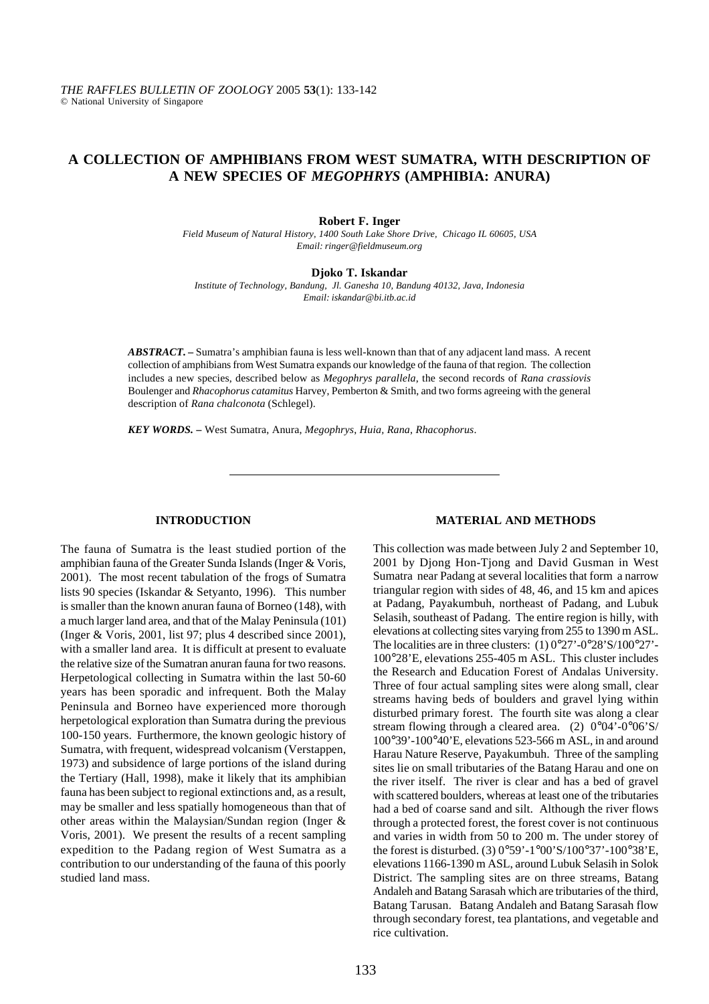# **A COLLECTION OF AMPHIBIANS FROM WEST SUMATRA, WITH DESCRIPTION OF A NEW SPECIES OF** *MEGOPHRYS* **(AMPHIBIA: ANURA)**

**Robert F. Inger**

*Field Museum of Natural History, 1400 South Lake Shore Drive, Chicago IL 60605, USA Email: ringer@fieldmuseum.org*

**Djoko T. Iskandar**

*Institute of Technology, Bandung, Jl. Ganesha 10, Bandung 40132, Java, Indonesia Email: iskandar@bi.itb.ac.id*

*ABSTRACT. –* Sumatra's amphibian fauna is less well-known than that of any adjacent land mass. A recent collection of amphibians from West Sumatra expands our knowledge of the fauna of that region. The collection includes a new species, described below as *Megophrys parallela*, the second records of *Rana crassiovis* Boulenger and *Rhacophorus catamitus* Harvey, Pemberton & Smith, and two forms agreeing with the general description of *Rana chalconota* (Schlegel).

*KEY WORDS. –* West Sumatra, Anura, *Megophrys*, *Huia, Rana*, *Rhacophorus*.

# **INTRODUCTION**

The fauna of Sumatra is the least studied portion of the amphibian fauna of the Greater Sunda Islands (Inger & Voris, 2001). The most recent tabulation of the frogs of Sumatra lists 90 species (Iskandar & Setyanto, 1996). This number is smaller than the known anuran fauna of Borneo (148), with a much larger land area, and that of the Malay Peninsula (101) (Inger & Voris, 2001, list 97; plus 4 described since 2001), with a smaller land area. It is difficult at present to evaluate the relative size of the Sumatran anuran fauna for two reasons. Herpetological collecting in Sumatra within the last 50-60 years has been sporadic and infrequent. Both the Malay Peninsula and Borneo have experienced more thorough herpetological exploration than Sumatra during the previous 100-150 years. Furthermore, the known geologic history of Sumatra, with frequent, widespread volcanism (Verstappen, 1973) and subsidence of large portions of the island during the Tertiary (Hall, 1998), make it likely that its amphibian fauna has been subject to regional extinctions and, as a result, may be smaller and less spatially homogeneous than that of other areas within the Malaysian/Sundan region (Inger & Voris, 2001). We present the results of a recent sampling expedition to the Padang region of West Sumatra as a contribution to our understanding of the fauna of this poorly studied land mass.

# **MATERIAL AND METHODS**

This collection was made between July 2 and September 10, 2001 by Djong Hon-Tjong and David Gusman in West Sumatra near Padang at several localities that form a narrow triangular region with sides of 48, 46, and 15 km and apices at Padang, Payakumbuh, northeast of Padang, and Lubuk Selasih, southeast of Padang. The entire region is hilly, with elevations at collecting sites varying from 255 to 1390 m ASL. The localities are in three clusters: (1) 0°27'-0°28'S/100°27'-100°28'E, elevations 255-405 m ASL. This cluster includes the Research and Education Forest of Andalas University. Three of four actual sampling sites were along small, clear streams having beds of boulders and gravel lying within disturbed primary forest. The fourth site was along a clear stream flowing through a cleared area. (2) 0°04'-0°06'S/ 100°39'-100°40'E, elevations 523-566 m ASL, in and around Harau Nature Reserve, Payakumbuh. Three of the sampling sites lie on small tributaries of the Batang Harau and one on the river itself. The river is clear and has a bed of gravel with scattered boulders, whereas at least one of the tributaries had a bed of coarse sand and silt. Although the river flows through a protected forest, the forest cover is not continuous and varies in width from 50 to 200 m. The under storey of the forest is disturbed. (3) 0°59'-1°00'S/100°37'-100°38'E, elevations 1166-1390 m ASL, around Lubuk Selasih in Solok District. The sampling sites are on three streams, Batang Andaleh and Batang Sarasah which are tributaries of the third, Batang Tarusan. Batang Andaleh and Batang Sarasah flow through secondary forest, tea plantations, and vegetable and rice cultivation.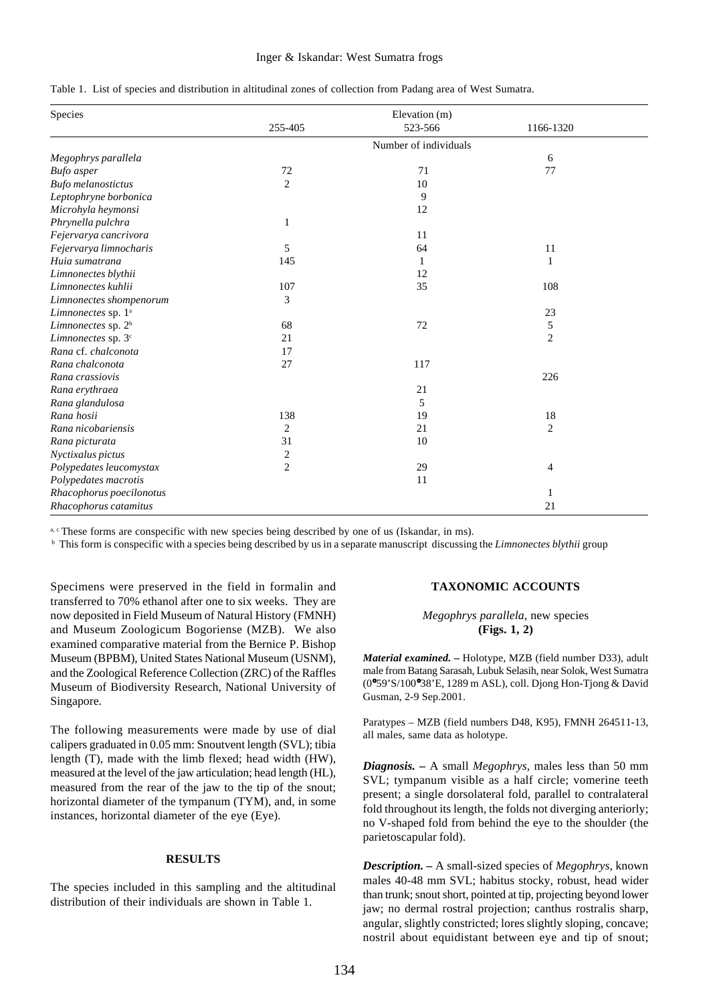### Inger & Iskandar: West Sumatra frogs

|  |  |  |  | Table 1. List of species and distribution in altitudinal zones of collection from Padang area of West Sumatra. |
|--|--|--|--|----------------------------------------------------------------------------------------------------------------|
|  |  |  |  |                                                                                                                |

| Species                        |                         | Elevation (m)         |                |
|--------------------------------|-------------------------|-----------------------|----------------|
|                                | 255-405                 | 523-566               | 1166-1320      |
|                                |                         | Number of individuals |                |
| Megophrys parallela            |                         |                       | 6              |
| <b>Bufo</b> asper              | 72                      | 71                    | 77             |
| <b>Bufo</b> melanostictus      | $\overline{c}$          | 10                    |                |
| Leptophryne borbonica          |                         | 9                     |                |
| Microhyla heymonsi             |                         | 12                    |                |
| Phrynella pulchra              | $\mathbf{1}$            |                       |                |
| Fejervarya cancrivora          |                         | 11                    |                |
| Fejervarya limnocharis         | 5                       | 64                    | 11             |
| Huia sumatrana                 | 145                     | 1                     | 1              |
| Limnonectes blythii            |                         | 12                    |                |
| Limnonectes kuhlii             | 107                     | 35                    | 108            |
| Limnonectes shompenorum        | 3                       |                       |                |
| Limnonectes sp. 1 <sup>a</sup> |                         |                       | 23             |
| Limnonectes sp. 2 <sup>b</sup> | 68                      | 72                    | 5              |
| Limnonectes sp. 3 <sup>c</sup> | 21                      |                       | $\overline{2}$ |
| Rana cf. chalconota            | 17                      |                       |                |
| Rana chalconota                | 27                      | 117                   |                |
| Rana crassiovis                |                         |                       | 226            |
| Rana erythraea                 |                         | 21                    |                |
| Rana glandulosa                |                         | 5                     |                |
| Rana hosii                     | 138                     | 19                    | 18             |
| Rana nicobariensis             | $\overline{2}$          | 21                    | $\overline{c}$ |
| Rana picturata                 | 31                      | 10                    |                |
| Nyctixalus pictus              | $\overline{\mathbf{c}}$ |                       |                |
| Polypedates leucomystax        | $\overline{2}$          | 29                    | 4              |
| Polypedates macrotis           |                         | 11                    |                |
| Rhacophorus poecilonotus       |                         |                       | 1              |
| Rhacophorus catamitus          |                         |                       | 21             |

<sup>a, c</sup> These forms are conspecific with new species being described by one of us (Iskandar, in ms).<br><sup>b</sup> This form is conspecific with a species being described by us in a separate manuscript discussing the *Limnonectes bly* 

Specimens were preserved in the field in formalin and transferred to 70% ethanol after one to six weeks. They are now deposited in Field Museum of Natural History (FMNH) and Museum Zoologicum Bogoriense (MZB). We also examined comparative material from the Bernice P. Bishop Museum (BPBM), United States National Museum (USNM), and the Zoological Reference Collection (ZRC) of the Raffles Museum of Biodiversity Research, National University of Singapore.

The following measurements were made by use of dial calipers graduated in 0.05 mm: Snoutvent length (SVL); tibia length (T), made with the limb flexed; head width (HW), measured at the level of the jaw articulation; head length (HL), measured from the rear of the jaw to the tip of the snout; horizontal diameter of the tympanum (TYM), and, in some instances, horizontal diameter of the eye (Eye).

#### **RESULTS**

The species included in this sampling and the altitudinal distribution of their individuals are shown in Table 1.

# **TAXONOMIC ACCOUNTS**

### *Megophrys parallela*, new species **(Figs. 1, 2)**

*Material examined. –* Holotype, MZB (field number D33), adult male from Batang Sarasah, Lubuk Selasih, near Solok, West Sumatra (0°59'S/100°38'E, 1289 m ASL), coll. Djong Hon-Tjong & David Gusman, 2-9 Sep.2001.

Paratypes – MZB (field numbers D48, K95), FMNH 264511-13, all males, same data as holotype.

*Diagnosis. –* A small *Megophrys*, males less than 50 mm SVL; tympanum visible as a half circle; vomerine teeth present; a single dorsolateral fold, parallel to contralateral fold throughout its length, the folds not diverging anteriorly; no V-shaped fold from behind the eye to the shoulder (the parietoscapular fold).

*Description. –* A small-sized species of *Megophrys*, known males 40-48 mm SVL; habitus stocky, robust, head wider than trunk; snout short, pointed at tip, projecting beyond lower jaw; no dermal rostral projection; canthus rostralis sharp, angular, slightly constricted; lores slightly sloping, concave; nostril about equidistant between eye and tip of snout;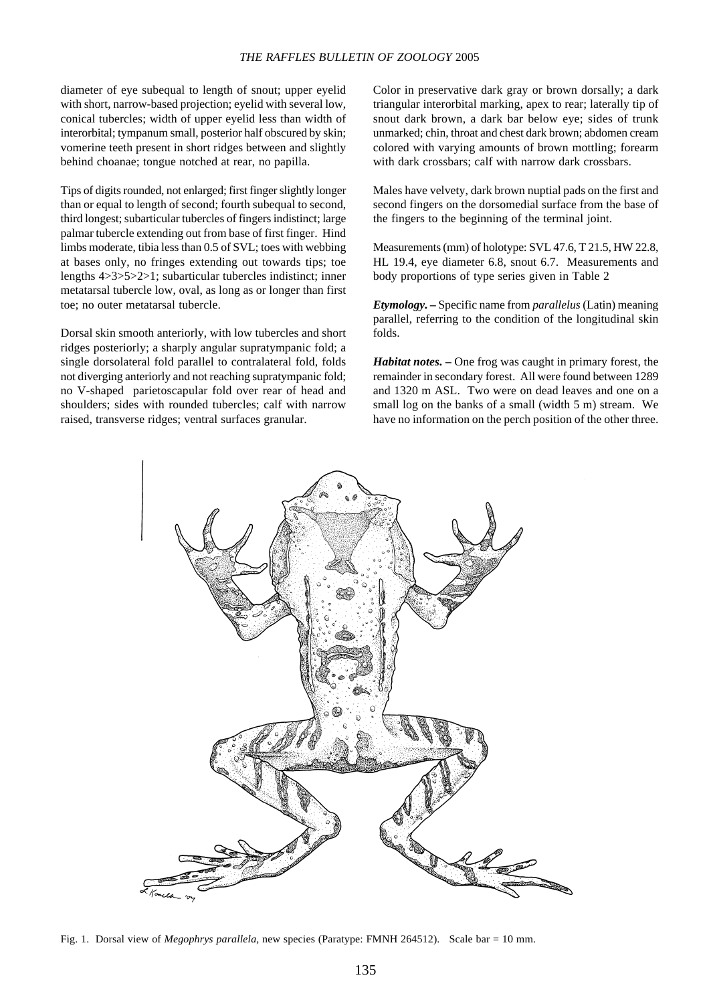# *THE RAFFLES BULLETIN OF ZOOLOGY* 2005

diameter of eye subequal to length of snout; upper eyelid with short, narrow-based projection; eyelid with several low, conical tubercles; width of upper eyelid less than width of interorbital; tympanum small, posterior half obscured by skin; vomerine teeth present in short ridges between and slightly behind choanae; tongue notched at rear, no papilla.

Tips of digits rounded, not enlarged; first finger slightly longer than or equal to length of second; fourth subequal to second, third longest; subarticular tubercles of fingers indistinct; large palmar tubercle extending out from base of first finger. Hind limbs moderate, tibia less than 0.5 of SVL; toes with webbing at bases only, no fringes extending out towards tips; toe lengths 4>3>5>2>1; subarticular tubercles indistinct; inner metatarsal tubercle low, oval, as long as or longer than first toe; no outer metatarsal tubercle.

Dorsal skin smooth anteriorly, with low tubercles and short ridges posteriorly; a sharply angular supratympanic fold; a single dorsolateral fold parallel to contralateral fold, folds not diverging anteriorly and not reaching supratympanic fold; no V-shaped parietoscapular fold over rear of head and shoulders; sides with rounded tubercles; calf with narrow raised, transverse ridges; ventral surfaces granular.

Color in preservative dark gray or brown dorsally; a dark triangular interorbital marking, apex to rear; laterally tip of snout dark brown, a dark bar below eye; sides of trunk unmarked; chin, throat and chest dark brown; abdomen cream colored with varying amounts of brown mottling; forearm with dark crossbars; calf with narrow dark crossbars.

Males have velvety, dark brown nuptial pads on the first and second fingers on the dorsomedial surface from the base of the fingers to the beginning of the terminal joint.

Measurements (mm) of holotype: SVL 47.6, T 21.5, HW 22.8, HL 19.4, eye diameter 6.8, snout 6.7. Measurements and body proportions of type series given in Table 2

*Etymology. –* Specific name from *parallelus* (Latin) meaning parallel, referring to the condition of the longitudinal skin folds.

*Habitat notes. –* One frog was caught in primary forest, the remainder in secondary forest. All were found between 1289 and 1320 m ASL. Two were on dead leaves and one on a small log on the banks of a small (width 5 m) stream. We have no information on the perch position of the other three.



Fig. 1. Dorsal view of *Megophrys parallela,* new species (Paratype: FMNH 264512). Scale bar = 10 mm.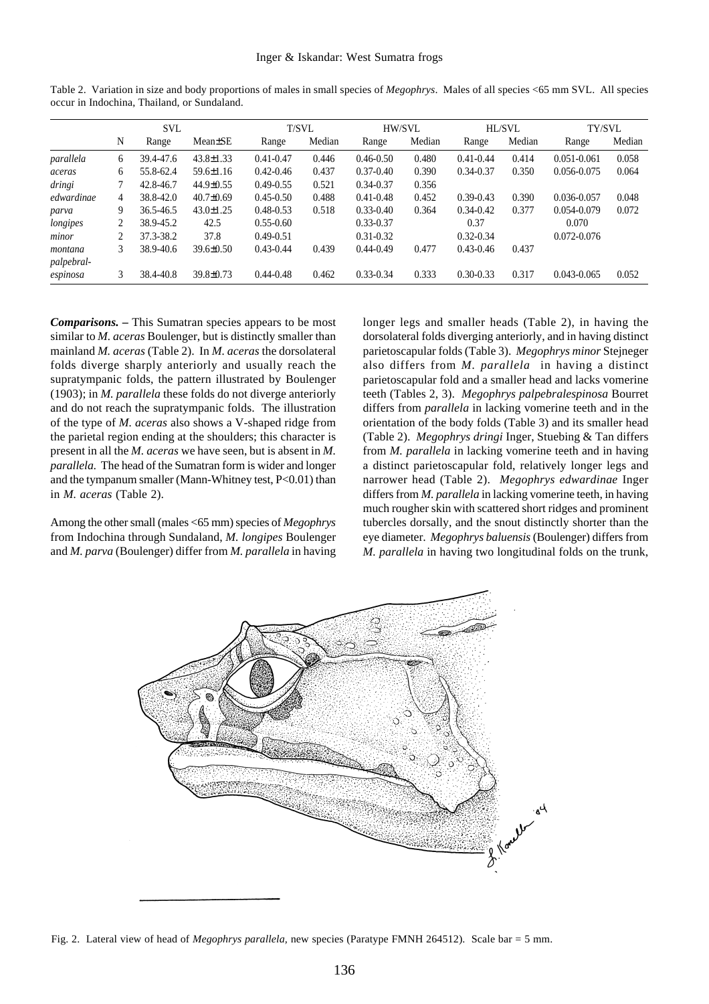|            | <b>SVL</b> |               |                 | T/SVL         |        | HW/SVL        |        | HL/SVL        |        | TY/SVL          |        |
|------------|------------|---------------|-----------------|---------------|--------|---------------|--------|---------------|--------|-----------------|--------|
|            | N          | Range         | Mean±SE         | Range         | Median | Range         | Median | Range         | Median | Range           | Median |
| parallela  | 6          | 39.4-47.6     | $43.8 \pm 1.33$ | $0.41 - 0.47$ | 0.446  | $0.46 - 0.50$ | 0.480  | $0.41 - 0.44$ | 0.414  | $0.051 - 0.061$ | 0.058  |
| aceras     | 6          | 55.8-62.4     | 59.6±1.16       | $0.42 - 0.46$ | 0.437  | $0.37 - 0.40$ | 0.390  | $0.34 - 0.37$ | 0.350  | 0.056-0.075     | 0.064  |
| dringi     |            | 42.8-46.7     | 44.9±0.55       | $0.49 - 0.55$ | 0.521  | $0.34 - 0.37$ | 0.356  |               |        |                 |        |
| edwardinae | 4          | $38.8 - 42.0$ | $40.7 \pm 0.69$ | $0.45 - 0.50$ | 0.488  | $0.41 - 0.48$ | 0.452  | $0.39 - 0.43$ | 0.390  | 0.036-0.057     | 0.048  |
| parva      | 9          | 36.5-46.5     | $43.0 \pm 1.25$ | $0.48 - 0.53$ | 0.518  | $0.33 - 0.40$ | 0.364  | $0.34 - 0.42$ | 0.377  | 0.054-0.079     | 0.072  |
| longipes   | 2          | 38.9-45.2     | 42.5            | $0.55 - 0.60$ |        | $0.33 - 0.37$ |        | 0.37          |        | 0.070           |        |
| minor      | 2          | 37.3-38.2     | 37.8            | $0.49 - 0.51$ |        | $0.31 - 0.32$ |        | $0.32 - 0.34$ |        | 0.072-0.076     |        |
| montana    | 3          | 38.9-40.6     | $39.6 \pm 0.50$ | $0.43 - 0.44$ | 0.439  | $0.44 - 0.49$ | 0.477  | $0.43 - 0.46$ | 0.437  |                 |        |
| palpebral- |            |               |                 |               |        |               |        |               |        |                 |        |
| espinosa   | 3          | 38.4-40.8     | 39.8±0.73       | $0.44 - 0.48$ | 0.462  | $0.33 - 0.34$ | 0.333  | $0.30 - 0.33$ | 0.317  | $0.043 - 0.065$ | 0.052  |

Table 2. Variation in size and body proportions of males in small species of *Megophrys*. Males of all species <65 mm SVL. All species occur in Indochina, Thailand, or Sundaland.

*Comparisons. –* This Sumatran species appears to be most similar to *M. aceras* Boulenger, but is distinctly smaller than mainland *M. aceras* (Table 2). In *M. aceras* the dorsolateral folds diverge sharply anteriorly and usually reach the supratympanic folds, the pattern illustrated by Boulenger (1903); in *M. parallela* these folds do not diverge anteriorly and do not reach the supratympanic folds. The illustration of the type of *M. aceras* also shows a V-shaped ridge from the parietal region ending at the shoulders; this character is present in all the *M. aceras* we have seen, but is absent in *M. parallela*. The head of the Sumatran form is wider and longer and the tympanum smaller (Mann-Whitney test, P<0.01) than in *M. aceras* (Table 2).

Among the other small (males <65 mm) species of *Megophrys* from Indochina through Sundaland, *M. longipes* Boulenger and *M. parva* (Boulenger) differ from *M. parallela* in having longer legs and smaller heads (Table 2), in having the dorsolateral folds diverging anteriorly, and in having distinct parietoscapular folds (Table 3). *Megophrys minor* Stejneger also differs from *M. parallela* in having a distinct parietoscapular fold and a smaller head and lacks vomerine teeth (Tables 2, 3). *Megophrys palpebralespinosa* Bourret differs from *parallela* in lacking vomerine teeth and in the orientation of the body folds (Table 3) and its smaller head (Table 2). *Megophrys dringi* Inger, Stuebing & Tan differs from *M. parallela* in lacking vomerine teeth and in having a distinct parietoscapular fold, relatively longer legs and narrower head (Table 2). *Megophrys edwardinae* Inger differs from *M. parallela* in lacking vomerine teeth, in having much rougher skin with scattered short ridges and prominent tubercles dorsally, and the snout distinctly shorter than the eye diameter. *Megophrys baluensis* (Boulenger) differs from *M. parallela* in having two longitudinal folds on the trunk,



Fig. 2. Lateral view of head of *Megophrys parallela,* new species (Paratype FMNH 264512). Scale bar = 5 mm.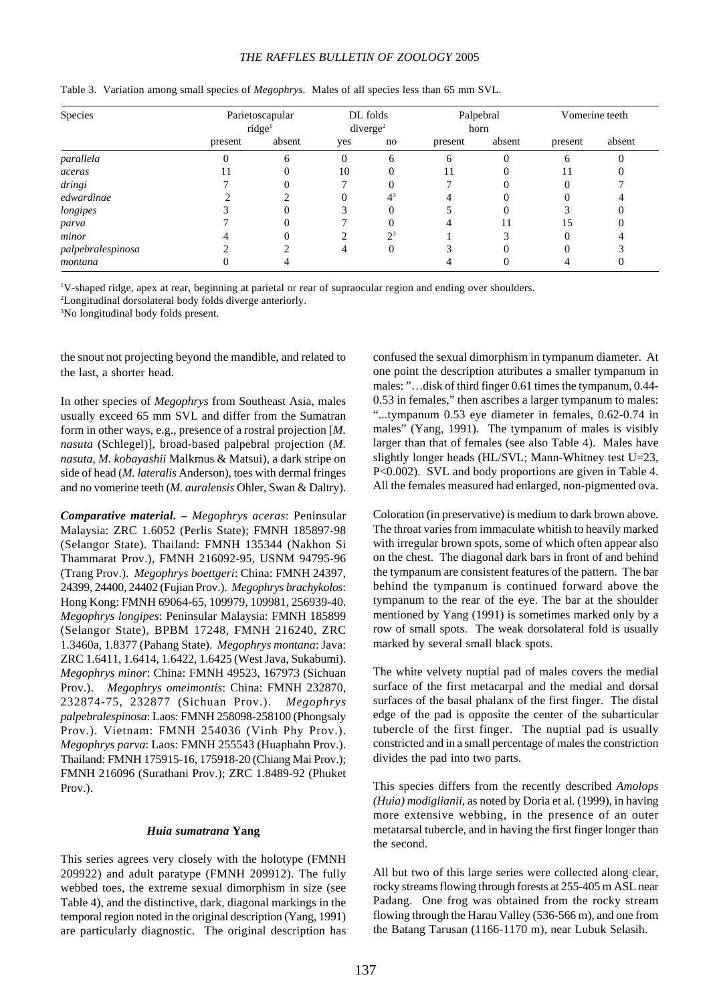# *THE RAFFLES BULLETIN OF ZOOLOGY* 2005

| Species           | Parietoscapular<br>ridge <sup>1</sup> | DL folds<br>diverge <sup>2</sup> |     | Palpebral<br>horn |         | Vomerine teeth |              |        |
|-------------------|---------------------------------------|----------------------------------|-----|-------------------|---------|----------------|--------------|--------|
|                   | present                               | absent                           | yes | no                | present | absent         | present      | absent |
| parallela         |                                       | 6                                |     | 6                 | 6       |                | <sub>(</sub> |        |
| aceras            |                                       |                                  | 10  |                   | 11      |                | 11           |        |
| dringi            |                                       |                                  |     |                   |         | $^{(1)}$       |              |        |
| edwardinae        |                                       |                                  |     | $4^3$             |         | 0              |              |        |
| longipes          |                                       |                                  |     |                   |         | 0              |              |        |
| parva             |                                       |                                  |     |                   |         | 11             | 15           |        |
| minor             |                                       |                                  |     | $2^3$             |         |                |              |        |
| palpebralespinosa |                                       |                                  |     | $\theta$          |         |                |              |        |
| montana           |                                       |                                  |     |                   |         |                |              |        |

Table 3. Variation among small species of *Megophrys*. Males of all species less than 65 mm SVL.

1 V-shaped ridge, apex at rear, beginning at parietal or rear of supraocular region and ending over shoulders.

2 Longitudinal dorsolateral body folds diverge anteriorly.

3 No longitudinal body folds present.

the snout not projecting beyond the mandible, and related to the last, a shorter head.

In other species of *Megophrys* from Southeast Asia, males usually exceed 65 mm SVL and differ from the Sumatran form in other ways, e.g., presence of a rostral projection [*M. nasuta* (Schlegel)], broad-based palpebral projection (*M. nasuta*, *M. kobayashii* Malkmus & Matsui), a dark stripe on side of head (*M. lateralis* Anderson), toes with dermal fringes and no vomerine teeth (*M. auralensis* Ohler, Swan & Daltry).

*Comparative material. – Megophrys aceras*: Peninsular Malaysia: ZRC 1.6052 (Perlis State); FMNH 185897-98 (Selangor State). Thailand: FMNH 135344 (Nakhon Si Thammarat Prov.), FMNH 216092-95, USNM 94795-96 (Trang Prov.). *Megophrys boettgeri*: China: FMNH 24397, 24399, 24400, 24402 (Fujian Prov.). *Megophrys brachykolos*: Hong Kong: FMNH 69064-65, 109979, 109981, 256939-40. *Megophrys longipes*: Peninsular Malaysia: FMNH 185899 (Selangor State), BPBM 17248, FMNH 216240, ZRC 1.3460a, 1.8377 (Pahang State). *Megophrys montana*: Java: ZRC 1.6411, 1.6414, 1.6422, 1.6425 (West Java, Sukabumi). *Megophrys minor*: China: FMNH 49523, 167973 (Sichuan Prov.). *Megophrys omeimontis*: China: FMNH 232870, 232874-75, 232877 (Sichuan Prov.). *Megophrys palpebralespinosa*: Laos: FMNH 258098-258100 (Phongsaly Prov.). Vietnam: FMNH 254036 (Vinh Phy Prov.). *Megophrys parva*: Laos: FMNH 255543 (Huaphahn Prov.). Thailand: FMNH 175915-16, 175918-20 (Chiang Mai Prov.); FMNH 216096 (Surathani Prov.); ZRC 1.8489-92 (Phuket Prov.).

### *Huia sumatrana* **Yang**

This series agrees very closely with the holotype (FMNH 209922) and adult paratype (FMNH 209912). The fully webbed toes, the extreme sexual dimorphism in size (see Table 4), and the distinctive, dark, diagonal markings in the temporal region noted in the original description (Yang, 1991) are particularly diagnostic. The original description has

confused the sexual dimorphism in tympanum diameter. At one point the description attributes a smaller tympanum in males: "…disk of third finger 0.61 times the tympanum, 0.44- 0.53 in females," then ascribes a larger tympanum to males: "...tympanum 0.53 eye diameter in females, 0.62-0.74 in males" (Yang, 1991). The tympanum of males is visibly larger than that of females (see also Table 4). Males have slightly longer heads (HL/SVL; Mann-Whitney test U=23, P<0.002). SVL and body proportions are given in Table 4. All the females measured had enlarged, non-pigmented ova.

Coloration (in preservative) is medium to dark brown above. The throat varies from immaculate whitish to heavily marked with irregular brown spots, some of which often appear also on the chest. The diagonal dark bars in front of and behind the tympanum are consistent features of the pattern. The bar behind the tympanum is continued forward above the tympanum to the rear of the eye. The bar at the shoulder mentioned by Yang (1991) is sometimes marked only by a row of small spots. The weak dorsolateral fold is usually marked by several small black spots.

The white velvety nuptial pad of males covers the medial surface of the first metacarpal and the medial and dorsal surfaces of the basal phalanx of the first finger. The distal edge of the pad is opposite the center of the subarticular tubercle of the first finger. The nuptial pad is usually constricted and in a small percentage of males the constriction divides the pad into two parts.

This species differs from the recently described *Amolops (Huia) modiglianii*, as noted by Doria et al. (1999), in having more extensive webbing, in the presence of an outer metatarsal tubercle, and in having the first finger longer than the second.

All but two of this large series were collected along clear, rocky streams flowing through forests at 255-405 m ASL near Padang. One frog was obtained from the rocky stream flowing through the Harau Valley (536-566 m), and one from the Batang Tarusan (1166-1170 m), near Lubuk Selasih.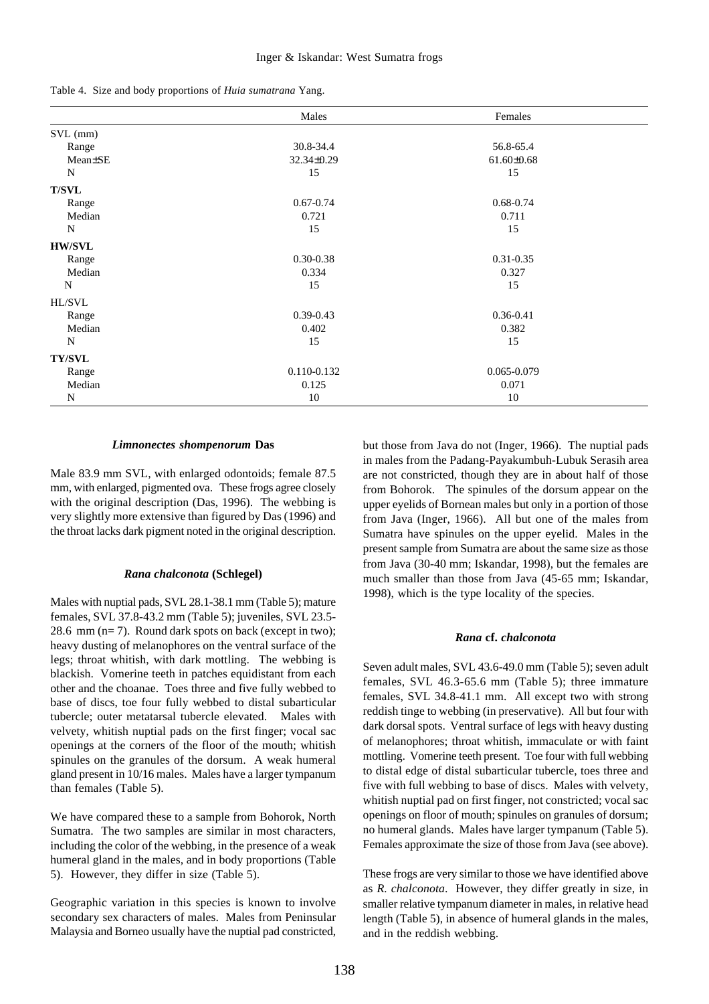|  |  |  | Table 4. Size and body proportions of Huia sumatrana Yang. |  |  |  |
|--|--|--|------------------------------------------------------------|--|--|--|
|--|--|--|------------------------------------------------------------|--|--|--|

|               | Males         | Females          |  |
|---------------|---------------|------------------|--|
| SVL (mm)      |               |                  |  |
| Range         | 30.8-34.4     | 56.8-65.4        |  |
| Mean±SE       | 32.34±0.29    | $61.60 \pm 0.68$ |  |
| N             | 15            | 15               |  |
| <b>T/SVL</b>  |               |                  |  |
| Range         | $0.67 - 0.74$ | 0.68-0.74        |  |
| Median        | 0.721         | 0.711            |  |
| N             | 15            | 15               |  |
| <b>HW/SVL</b> |               |                  |  |
| Range         | $0.30 - 0.38$ | $0.31 - 0.35$    |  |
| Median        | 0.334         | 0.327            |  |
| N             | 15            | 15               |  |
| HL/SVL        |               |                  |  |
| Range         | $0.39 - 0.43$ | 0.36-0.41        |  |
| Median        | 0.402         | 0.382            |  |
| N             | 15            | 15               |  |
| <b>TY/SVL</b> |               |                  |  |
| Range         | 0.110-0.132   | 0.065-0.079      |  |
| Median        | 0.125         | 0.071            |  |
| N             | 10            | 10               |  |

#### *Limnonectes shompenorum* **Das**

Male 83.9 mm SVL, with enlarged odontoids; female 87.5 mm, with enlarged, pigmented ova. These frogs agree closely with the original description (Das, 1996). The webbing is very slightly more extensive than figured by Das (1996) and the throat lacks dark pigment noted in the original description.

#### *Rana chalconota* **(Schlegel)**

Males with nuptial pads, SVL 28.1-38.1 mm (Table 5); mature females, SVL 37.8-43.2 mm (Table 5); juveniles, SVL 23.5- 28.6 mm  $(n=7)$ . Round dark spots on back (except in two); heavy dusting of melanophores on the ventral surface of the legs; throat whitish, with dark mottling. The webbing is blackish. Vomerine teeth in patches equidistant from each other and the choanae. Toes three and five fully webbed to base of discs, toe four fully webbed to distal subarticular tubercle; outer metatarsal tubercle elevated. Males with velvety, whitish nuptial pads on the first finger; vocal sac openings at the corners of the floor of the mouth; whitish spinules on the granules of the dorsum. A weak humeral gland present in 10/16 males. Males have a larger tympanum than females (Table 5).

We have compared these to a sample from Bohorok, North Sumatra. The two samples are similar in most characters, including the color of the webbing, in the presence of a weak humeral gland in the males, and in body proportions (Table 5). However, they differ in size (Table 5).

Geographic variation in this species is known to involve secondary sex characters of males. Males from Peninsular Malaysia and Borneo usually have the nuptial pad constricted,

but those from Java do not (Inger, 1966). The nuptial pads in males from the Padang-Payakumbuh-Lubuk Serasih area are not constricted, though they are in about half of those from Bohorok. The spinules of the dorsum appear on the upper eyelids of Bornean males but only in a portion of those from Java (Inger, 1966). All but one of the males from Sumatra have spinules on the upper eyelid. Males in the present sample from Sumatra are about the same size as those from Java (30-40 mm; Iskandar, 1998), but the females are much smaller than those from Java (45-65 mm; Iskandar, 1998), which is the type locality of the species.

### *Rana* **cf.** *chalconota*

Seven adult males, SVL 43.6-49.0 mm (Table 5); seven adult females, SVL 46.3-65.6 mm (Table 5); three immature females, SVL 34.8-41.1 mm. All except two with strong reddish tinge to webbing (in preservative). All but four with dark dorsal spots. Ventral surface of legs with heavy dusting of melanophores; throat whitish, immaculate or with faint mottling. Vomerine teeth present. Toe four with full webbing to distal edge of distal subarticular tubercle, toes three and five with full webbing to base of discs. Males with velvety, whitish nuptial pad on first finger, not constricted; vocal sac openings on floor of mouth; spinules on granules of dorsum; no humeral glands. Males have larger tympanum (Table 5). Females approximate the size of those from Java (see above).

These frogs are very similar to those we have identified above as *R. chalconota*. However, they differ greatly in size, in smaller relative tympanum diameter in males, in relative head length (Table 5), in absence of humeral glands in the males, and in the reddish webbing.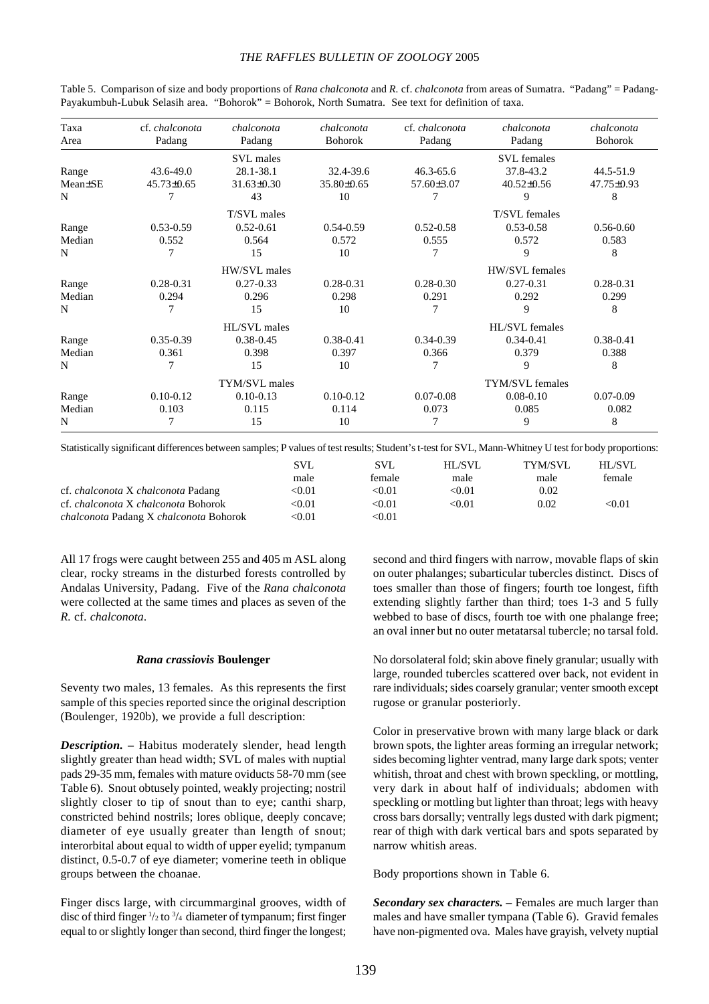## *THE RAFFLES BULLETIN OF ZOOLOGY* 2005

| Taxa<br>Area | cf. chalconota<br>Padang | chalconota<br>Padang | chalconota<br><b>Bohorok</b> | cf. chalconota<br>Padang | chalconota<br>Padang | chalconota<br><b>Bohorok</b> |
|--------------|--------------------------|----------------------|------------------------------|--------------------------|----------------------|------------------------------|
|              |                          |                      |                              |                          |                      |                              |
|              |                          | SVL males            |                              |                          | <b>SVL</b> females   |                              |
| Range        | 43.6-49.0                | 28.1-38.1            | 32.4-39.6                    | $46.3 - 65.6$            | 37.8-43.2            | 44.5-51.9                    |
| Mean±SE      | $45.73 \pm 0.65$         | $31.63 \pm 0.30$     | 35.80±0.65                   | $57.60 \pm 3.07$         | $40.52 \pm 0.56$     | 47.75±0.93                   |
| N            |                          | 43                   | 10                           |                          | 9                    | 8                            |
|              |                          | T/SVL males          |                              |                          | T/SVL females        |                              |
| Range        | $0.53 - 0.59$            | $0.52 - 0.61$        | $0.54 - 0.59$                | $0.52 - 0.58$            | 0.53-0.58            | $0.56 - 0.60$                |
| Median       | 0.552                    | 0.564                | 0.572                        | 0.555                    | 0.572                | 0.583                        |
| N            |                          | 15                   | 10                           |                          | 9                    | 8                            |
|              |                          | HW/SVL males         |                              |                          | HW/SVL females       |                              |
| Range        | $0.28 - 0.31$            | $0.27 - 0.33$        | $0.28 - 0.31$                | $0.28 - 0.30$            | $0.27 - 0.31$        | $0.28 - 0.31$                |
| Median       | 0.294                    | 0.296                | 0.298                        | 0.291                    | 0.292                | 0.299                        |
| N            |                          | 15                   | 10                           |                          | 9                    | 8                            |
|              |                          | HL/SVL males         |                              |                          | HL/SVL females       |                              |
| Range        | $0.35 - 0.39$            | $0.38 - 0.45$        | 0.38-0.41                    | $0.34 - 0.39$            | $0.34 - 0.41$        | 0.38-0.41                    |
| Median       | 0.361                    | 0.398                | 0.397                        | 0.366                    | 0.379                | 0.388                        |
| N            |                          | 15                   | 10                           | 7                        | 9                    | 8                            |
|              |                          | TYM/SVL males        |                              |                          | TYM/SVL females      |                              |
| Range        | $0.10 - 0.12$            | $0.10 - 0.13$        | $0.10 - 0.12$                | $0.07 - 0.08$            | $0.08 - 0.10$        | $0.07 - 0.09$                |
| Median       | 0.103                    | 0.115                | 0.114                        | 0.073                    | 0.085                | 0.082                        |
| N            |                          | 15                   | 10                           |                          | 9                    | 8                            |

Table 5. Comparison of size and body proportions of *Rana chalconota* and *R.* cf. *chalconota* from areas of Sumatra. "Padang" = Padang-Payakumbuh-Lubuk Selasih area. "Bohorok" = Bohorok, North Sumatra. See text for definition of taxa.

Statistically significant differences between samples; P values of test results; Student's t-test for SVL, Mann-Whitney U test for body proportions:

|                                                      | SVI.                    | SVL           | HL/SVL | TYM/SVL | HL/SVL |
|------------------------------------------------------|-------------------------|---------------|--------|---------|--------|
|                                                      | male                    | female        | male   | male    | female |
| cf. <i>chalconota</i> X <i>chalconota</i> Padang     | $< \hspace{-0.2em}0.01$ | < 0.01        | < 0.01 | 0.02    |        |
| cf. <i>chalconota</i> X <i>chalconota</i> Bohorok    | <0.01                   | < 0.01        | < 0.01 | 0.02    | < 0.01 |
| <i>chalconota</i> Padang X <i>chalconota</i> Bohorok | <0.01                   | $< \!\! 0.01$ |        |         |        |

All 17 frogs were caught between 255 and 405 m ASL along clear, rocky streams in the disturbed forests controlled by Andalas University, Padang. Five of the *Rana chalconota* were collected at the same times and places as seven of the *R.* cf. *chalconota*.

#### *Rana crassiovis* **Boulenger**

Seventy two males, 13 females. As this represents the first sample of this species reported since the original description (Boulenger, 1920b), we provide a full description:

*Description. –* Habitus moderately slender, head length slightly greater than head width; SVL of males with nuptial pads 29-35 mm, females with mature oviducts 58-70 mm (see Table 6). Snout obtusely pointed, weakly projecting; nostril slightly closer to tip of snout than to eye; canthi sharp, constricted behind nostrils; lores oblique, deeply concave; diameter of eye usually greater than length of snout; interorbital about equal to width of upper eyelid; tympanum distinct, 0.5-0.7 of eye diameter; vomerine teeth in oblique groups between the choanae.

Finger discs large, with circummarginal grooves, width of disc of third finger  $\frac{1}{2}$  to  $\frac{3}{4}$  diameter of tympanum; first finger equal to or slightly longer than second, third finger the longest; second and third fingers with narrow, movable flaps of skin on outer phalanges; subarticular tubercles distinct. Discs of toes smaller than those of fingers; fourth toe longest, fifth extending slightly farther than third; toes 1-3 and 5 fully webbed to base of discs, fourth toe with one phalange free; an oval inner but no outer metatarsal tubercle; no tarsal fold.

No dorsolateral fold; skin above finely granular; usually with large, rounded tubercles scattered over back, not evident in rare individuals; sides coarsely granular; venter smooth except rugose or granular posteriorly.

Color in preservative brown with many large black or dark brown spots, the lighter areas forming an irregular network; sides becoming lighter ventrad, many large dark spots; venter whitish, throat and chest with brown speckling, or mottling, very dark in about half of individuals; abdomen with speckling or mottling but lighter than throat; legs with heavy cross bars dorsally; ventrally legs dusted with dark pigment; rear of thigh with dark vertical bars and spots separated by narrow whitish areas.

Body proportions shown in Table 6.

*Secondary sex characters. –* Females are much larger than males and have smaller tympana (Table 6). Gravid females have non-pigmented ova. Males have grayish, velvety nuptial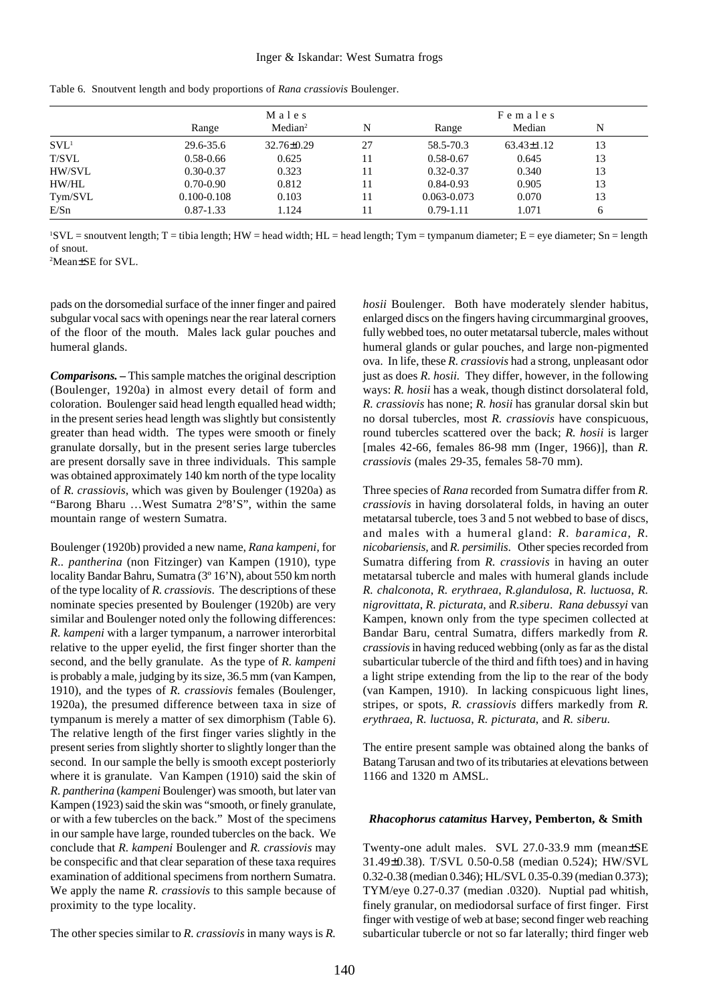|                  |                 | Males               |    | Females       |                  |    |  |
|------------------|-----------------|---------------------|----|---------------|------------------|----|--|
|                  | Range           | Median <sup>2</sup> | N  | Range         | Median           | N  |  |
| SVL <sup>1</sup> | 29.6-35.6       | 32.76±0.29          | 27 | 58.5-70.3     | $63.43 \pm 1.12$ | 13 |  |
| T/SVL            | $0.58 - 0.66$   | 0.625               | 11 | $0.58 - 0.67$ | 0.645            | 13 |  |
| HW/SVL           | $0.30 - 0.37$   | 0.323               | 11 | $0.32 - 0.37$ | 0.340            | 13 |  |
| HW/HL            | $0.70 - 0.90$   | 0.812               | 11 | $0.84 - 0.93$ | 0.905            | 13 |  |
| Tym/SVL          | $0.100 - 0.108$ | 0.103               |    | 0.063-0.073   | 0.070            | 13 |  |
| E/Sn             | $0.87 - 1.33$   | 1.124               |    | $0.79 - 1.11$ | 1.071            | h  |  |

Table 6. Snoutvent length and body proportions of *Rana crassiovis* Boulenger.

 ${}^1SVL$  = snoutvent length; T = tibia length; HW = head width; HL = head length; Tym = tympanum diameter; E = eye diameter; Sn = length of snout.

2 Mean±SE for SVL.

pads on the dorsomedial surface of the inner finger and paired subgular vocal sacs with openings near the rear lateral corners of the floor of the mouth. Males lack gular pouches and humeral glands.

*Comparisons. –* This sample matches the original description (Boulenger, 1920a) in almost every detail of form and coloration. Boulenger said head length equalled head width; in the present series head length was slightly but consistently greater than head width. The types were smooth or finely granulate dorsally, but in the present series large tubercles are present dorsally save in three individuals. This sample was obtained approximately 140 km north of the type locality of *R. crassiovis*, which was given by Boulenger (1920a) as "Barong Bharu …West Sumatra 2º8'S", within the same mountain range of western Sumatra.

Boulenger (1920b) provided a new name, *Rana kampeni,* for *R.. pantherina* (non Fitzinger) van Kampen (1910), type locality Bandar Bahru, Sumatra (3º 16'N), about 550 km north of the type locality of *R. crassiovis*. The descriptions of these nominate species presented by Boulenger (1920b) are very similar and Boulenger noted only the following differences: *R. kampeni* with a larger tympanum, a narrower interorbital relative to the upper eyelid*,* the first finger shorter than the second, and the belly granulate. As the type of *R. kampeni* is probably a male, judging by its size, 36.5 mm (van Kampen, 1910), and the types of *R. crassiovis* females (Boulenger, 1920a), the presumed difference between taxa in size of tympanum is merely a matter of sex dimorphism (Table 6). The relative length of the first finger varies slightly in the present series from slightly shorter to slightly longer than the second. In our sample the belly is smooth except posteriorly where it is granulate. Van Kampen (1910) said the skin of *R. pantherina* (*kampeni* Boulenger) was smooth, but later van Kampen (1923) said the skin was "smooth, or finely granulate, or with a few tubercles on the back." Most of the specimens in our sample have large, rounded tubercles on the back. We conclude that *R. kampeni* Boulenger and *R. crassiovis* may be conspecific and that clear separation of these taxa requires examination of additional specimens from northern Sumatra. We apply the name *R. crassiovis* to this sample because of proximity to the type locality.

The other species similar to *R. crassiovis* in many ways is *R.*

*hosii* Boulenger. Both have moderately slender habitus, enlarged discs on the fingers having circummarginal grooves, fully webbed toes, no outer metatarsal tubercle, males without humeral glands or gular pouches, and large non-pigmented ova. In life, these *R. crassiovis* had a strong, unpleasant odor just as does *R. hosii.* They differ, however, in the following ways: *R. hosii* has a weak, though distinct dorsolateral fold, *R. crassiovis* has none; *R. hosii* has granular dorsal skin but no dorsal tubercles, most *R. crassiovis* have conspicuous, round tubercles scattered over the back; *R. hosii* is larger [males 42-66, females 86-98 mm (Inger, 1966)], than *R. crassiovis* (males 29-35, females 58-70 mm).

Three species of *Rana* recorded from Sumatra differ from *R. crassiovis* in having dorsolateral folds, in having an outer metatarsal tubercle, toes 3 and 5 not webbed to base of discs, and males with a humeral gland: *R. baramica*, *R. nicobariensis,* and *R. persimilis*. Other species recorded from Sumatra differing from *R. crassiovis* in having an outer metatarsal tubercle and males with humeral glands include *R. chalconota*, *R. erythraea*, *R.glandulosa*, *R. luctuosa*, *R. nigrovittata*, *R. picturata*, and *R.siberu*. *Rana debussyi* van Kampen, known only from the type specimen collected at Bandar Baru, central Sumatra, differs markedly from *R. crassiovis* in having reduced webbing (only as far as the distal subarticular tubercle of the third and fifth toes) and in having a light stripe extending from the lip to the rear of the body (van Kampen, 1910). In lacking conspicuous light lines, stripes, or spots, *R. crassiovis* differs markedly from *R. erythraea*, *R. luctuosa*, *R. picturata*, and *R. siberu*.

The entire present sample was obtained along the banks of Batang Tarusan and two of its tributaries at elevations between 1166 and 1320 m AMSL.

#### *Rhacophorus catamitus* **Harvey, Pemberton, & Smith**

Twenty-one adult males. SVL 27.0-33.9 mm (mean±SE 31.49±0.38). T/SVL 0.50-0.58 (median 0.524); HW/SVL 0.32-0.38 (median 0.346); HL/SVL 0.35-0.39 (median 0.373); TYM/eye 0.27-0.37 (median .0320). Nuptial pad whitish, finely granular, on mediodorsal surface of first finger. First finger with vestige of web at base; second finger web reaching subarticular tubercle or not so far laterally; third finger web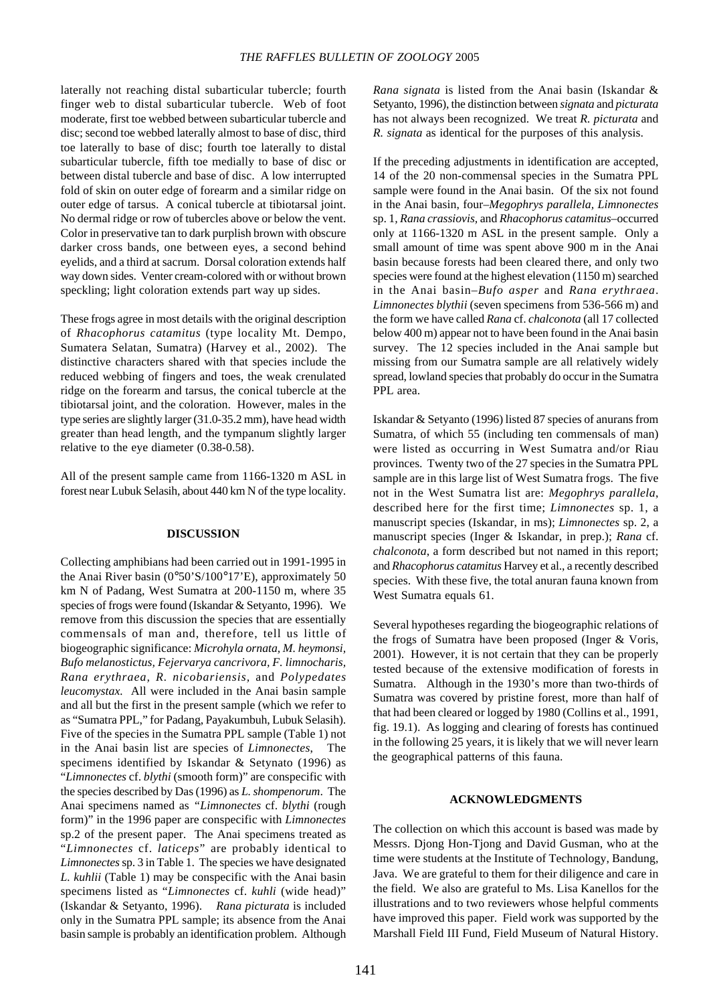laterally not reaching distal subarticular tubercle; fourth finger web to distal subarticular tubercle. Web of foot moderate, first toe webbed between subarticular tubercle and disc; second toe webbed laterally almost to base of disc, third toe laterally to base of disc; fourth toe laterally to distal subarticular tubercle, fifth toe medially to base of disc or between distal tubercle and base of disc. A low interrupted fold of skin on outer edge of forearm and a similar ridge on outer edge of tarsus. A conical tubercle at tibiotarsal joint. No dermal ridge or row of tubercles above or below the vent. Color in preservative tan to dark purplish brown with obscure darker cross bands, one between eyes, a second behind eyelids, and a third at sacrum. Dorsal coloration extends half way down sides. Venter cream-colored with or without brown speckling; light coloration extends part way up sides.

These frogs agree in most details with the original description of *Rhacophorus catamitus* (type locality Mt. Dempo, Sumatera Selatan, Sumatra) (Harvey et al., 2002). The distinctive characters shared with that species include the reduced webbing of fingers and toes, the weak crenulated ridge on the forearm and tarsus, the conical tubercle at the tibiotarsal joint, and the coloration. However, males in the type series are slightly larger (31.0-35.2 mm), have head width greater than head length, and the tympanum slightly larger relative to the eye diameter (0.38-0.58).

All of the present sample came from 1166-1320 m ASL in forest near Lubuk Selasih, about 440 km N of the type locality.

### **DISCUSSION**

Collecting amphibians had been carried out in 1991-1995 in the Anai River basin (0°50'S/100°17'E), approximately 50 km N of Padang, West Sumatra at 200-1150 m, where 35 species of frogs were found (Iskandar & Setyanto, 1996). We remove from this discussion the species that are essentially commensals of man and, therefore, tell us little of biogeographic significance: *Microhyla ornata, M. heymonsi, Bufo melanostictus, Fejervarya cancrivora, F. limnocharis, Rana erythraea, R. nicobariensis,* and *Polypedates leucomystax.* All were included in the Anai basin sample and all but the first in the present sample (which we refer to as "Sumatra PPL," for Padang, Payakumbuh, Lubuk Selasih). Five of the species in the Sumatra PPL sample (Table 1) not in the Anai basin list are species of *Limnonectes*, The specimens identified by Iskandar & Setynato (1996) as "*Limnonectes* cf. *blythi* (smooth form)" are conspecific with the species described by Das (1996) as *L. shompenorum*. The Anai specimens named as *"Limnonectes* cf. *blythi* (rough form)" in the 1996 paper are conspecific with *Limnonectes* sp.2 of the present paper. The Anai specimens treated as "*Limnonectes* cf. *laticeps*" are probably identical to *Limnonectes* sp. 3 in Table 1. The species we have designated *L. kuhlii* (Table 1) may be conspecific with the Anai basin specimens listed as "*Limnonectes* cf. *kuhli* (wide head)" (Iskandar & Setyanto, 1996). *Rana picturata* is included only in the Sumatra PPL sample; its absence from the Anai basin sample is probably an identification problem. Although

*Rana signata* is listed from the Anai basin (Iskandar & Setyanto, 1996), the distinction between *signata* and *picturata* has not always been recognized. We treat *R. picturata* and *R. signata* as identical for the purposes of this analysis.

If the preceding adjustments in identification are accepted, 14 of the 20 non-commensal species in the Sumatra PPL sample were found in the Anai basin. Of the six not found in the Anai basin, four–*Megophrys parallela, Limnonectes* sp. 1*, Rana crassiovis,* and *Rhacophorus catamitus*–occurred only at 1166-1320 m ASL in the present sample. Only a small amount of time was spent above 900 m in the Anai basin because forests had been cleared there, and only two species were found at the highest elevation (1150 m) searched in the Anai basin–*Bufo asper* and *Rana erythraea*. *Limnonectes blythii* (seven specimens from 536-566 m) and the form we have called *Rana* cf. *chalconota* (all 17 collected below 400 m) appear not to have been found in the Anai basin survey. The 12 species included in the Anai sample but missing from our Sumatra sample are all relatively widely spread, lowland species that probably do occur in the Sumatra PPL area.

Iskandar & Setyanto (1996) listed 87 species of anurans from Sumatra, of which 55 (including ten commensals of man) were listed as occurring in West Sumatra and/or Riau provinces. Twenty two of the 27 species in the Sumatra PPL sample are in this large list of West Sumatra frogs. The five not in the West Sumatra list are: *Megophrys parallela*, described here for the first time; *Limnonectes* sp. 1, a manuscript species (Iskandar, in ms); *Limnonectes* sp. 2, a manuscript species (Inger & Iskandar, in prep.); *Rana* cf. *chalconota*, a form described but not named in this report; and *Rhacophorus catamitus* Harvey et al., a recently described species. With these five, the total anuran fauna known from West Sumatra equals 61.

Several hypotheses regarding the biogeographic relations of the frogs of Sumatra have been proposed (Inger & Voris, 2001). However, it is not certain that they can be properly tested because of the extensive modification of forests in Sumatra. Although in the 1930's more than two-thirds of Sumatra was covered by pristine forest, more than half of that had been cleared or logged by 1980 (Collins et al., 1991, fig. 19.1). As logging and clearing of forests has continued in the following 25 years, it is likely that we will never learn the geographical patterns of this fauna.

#### **ACKNOWLEDGMENTS**

The collection on which this account is based was made by Messrs. Djong Hon-Tjong and David Gusman, who at the time were students at the Institute of Technology, Bandung, Java. We are grateful to them for their diligence and care in the field. We also are grateful to Ms. Lisa Kanellos for the illustrations and to two reviewers whose helpful comments have improved this paper. Field work was supported by the Marshall Field III Fund, Field Museum of Natural History.